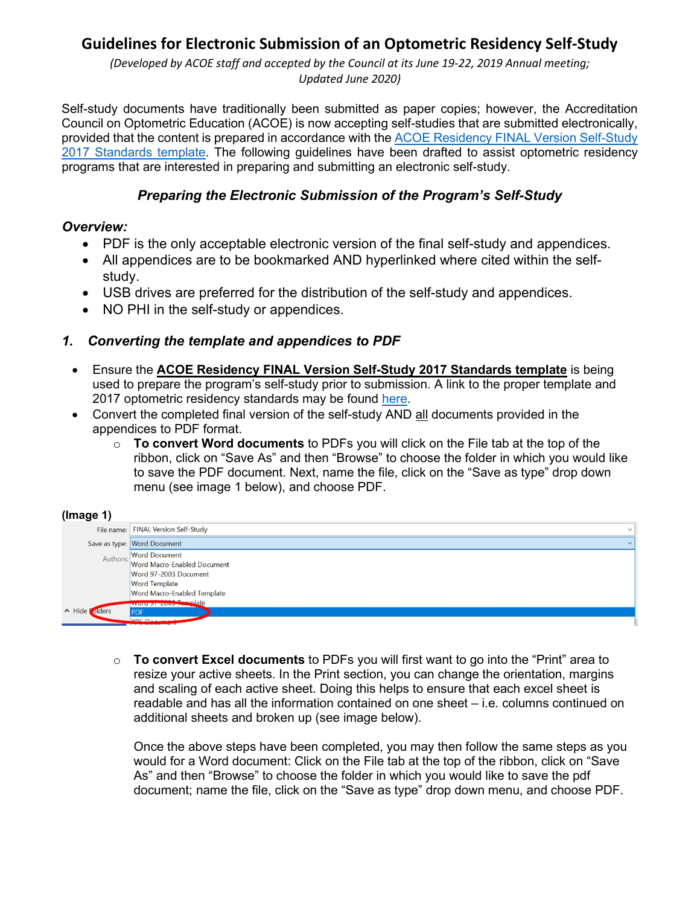# **Guidelines for Electronic Submission of an Optometric Residency Self-Study**

*(Developed by ACOE staff and accepted by the Council at its June 19-22, 2019 Annual meeting; Updated June 2020)*

Self-study documents have traditionally been submitted as paper copies; however, the Accreditation Council on Optometric Education (ACOE) is now accepting self-studies that are submitted electronically, provided that the content is prepared in accordance with the [ACOE Residency FINAL Version Self-Study](http://www.aoa.org/Documents/ACOE/ACOE_Residency_FINAL_Version_Self-Study_2017_Standards.doc)  [2017 Standards template.](http://www.aoa.org/Documents/ACOE/ACOE_Residency_FINAL_Version_Self-Study_2017_Standards.doc) The following guidelines have been drafted to assist optometric residency programs that are interested in preparing and submitting an electronic self-study.

### *Preparing the Electronic Submission of the Program's Self-Study*

#### *Overview:*

- PDF is the only acceptable electronic version of the final self-study and appendices.
- All appendices are to be bookmarked AND hyperlinked where cited within the selfstudy.
- USB drives are preferred for the distribution of the self-study and appendices.
- NO PHI in the self-study or appendices.

### *1. Converting the template and appendices to PDF*

- Ensure the **ACOE Residency FINAL Version Self-Study 2017 Standards template** is being used to prepare the program's self-study prior to submission. A link to the proper template and 2017 optometric residency standards may be found [here.](https://www.aoa.org/optometrists/for-educators/accreditation-council-on-optometric-education/accreditation-resources-and-guidance/optometric-residency-programs)
- Convert the completed final version of the self-study AND all documents provided in the appendices to PDF format.
	- o **To convert Word documents** to PDFs you will click on the File tab at the top of the ribbon, click on "Save As" and then "Browse" to choose the folder in which you would like to save the PDF document. Next, name the file, click on the "Save as type" drop down menu (see image 1 below), and choose PDF.

#### **(Image 1)**

| . .<br>. .             |                                                       |  |
|------------------------|-------------------------------------------------------|--|
|                        | File name: FINAL Version Self-Study<br>$\checkmark$   |  |
|                        | Save as type: Word Document<br>$\vee$                 |  |
|                        | Authors: Word Document<br>Word Macro-Enabled Document |  |
|                        |                                                       |  |
|                        | Word 97-2003 Document                                 |  |
|                        | <b>Word Template</b>                                  |  |
|                        | Word Macro-Enabled Template                           |  |
|                        | <b>Tamplate</b><br>rrUUUU                             |  |
| $\land$ Hide<br>olders | <b>PDF</b>                                            |  |
|                        | VDC Document                                          |  |

o **To convert Excel documents** to PDFs you will first want to go into the "Print" area to resize your active sheets. In the Print section, you can change the orientation, margins and scaling of each active sheet. Doing this helps to ensure that each excel sheet is readable and has all the information contained on one sheet – i.e. columns continued on additional sheets and broken up (see image below).

Once the above steps have been completed, you may then follow the same steps as you would for a Word document: Click on the File tab at the top of the ribbon, click on "Save As" and then "Browse" to choose the folder in which you would like to save the pdf document; name the file, click on the "Save as type" drop down menu, and choose PDF.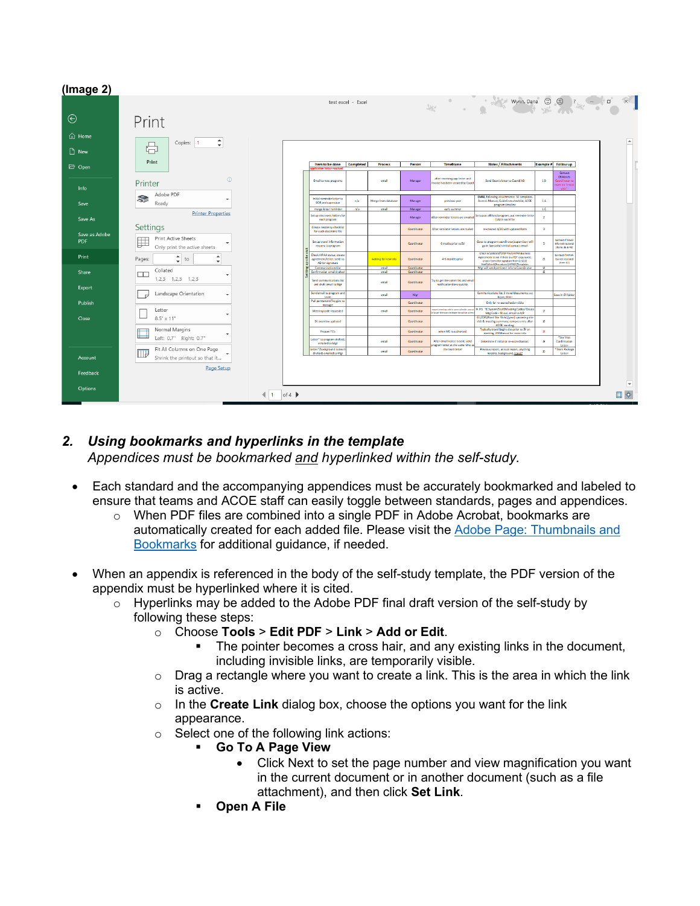| (Image 2)                   |                                                                                    |                            |                                                                            |                    |                      |                            |                                                                      |                                                                                                                                                                                 |                                  |                                                                                        |                       |                          |
|-----------------------------|------------------------------------------------------------------------------------|----------------------------|----------------------------------------------------------------------------|--------------------|----------------------|----------------------------|----------------------------------------------------------------------|---------------------------------------------------------------------------------------------------------------------------------------------------------------------------------|----------------------------------|----------------------------------------------------------------------------------------|-----------------------|--------------------------|
|                             |                                                                                    |                            |                                                                            | test excel - Excel |                      |                            | 您                                                                    | $\sim$ Wynn Dana $\odot$ $\odot$ $\circ$ $\sim$ $\circ$ $\circ$                                                                                                                 |                                  |                                                                                        |                       |                          |
| $_{\oplus}$                 | Print                                                                              |                            |                                                                            |                    |                      |                            |                                                                      |                                                                                                                                                                                 |                                  |                                                                                        |                       |                          |
| <b>d</b> Home<br>$\Box$ New | $\blacktriangle$<br>Copies:<br>$\overline{1}$<br>咼<br>$\mathbf{v}$                 |                            |                                                                            |                    |                      |                            |                                                                      |                                                                                                                                                                                 |                                  |                                                                                        |                       |                          |
| <b>D</b> Open               | Print                                                                              |                            | Item to be done<br><b>Corp. Letter corp.</b>                               | Completed          | Process              | Person                     | Timeframe                                                            | Notes / Attachments                                                                                                                                                             | <b>Example #</b>                 | Follow up                                                                              |                       |                          |
| Info                        | $\odot$<br>Printer                                                                 |                            | Email to new programs                                                      |                    | email                | Manager                    | after receiving app letter and<br>invoice has been created by Coord  | Send Dean's letter to Coord/AD                                                                                                                                                  | 1B                               | Contact<br><b>ORMstch:</b><br>Coardinator ti<br>nark dib <sup>e</sup> finitia<br>widt" |                       |                          |
| Save                        | Adobe PDF<br>S<br>Ready                                                            |                            | <b>Initial reminder letter to</b><br>DOR and supervisor                    | n/a                | Merge from database  | Manager                    | previous year                                                        | <b>EMAIL</b> following attachments: SS templates<br>Accred. Manual, Guidelines checklist, ACOE<br>program timeline                                                              | 1A                               |                                                                                        |                       |                          |
| Save As                     | <b>Printer Properties</b>                                                          |                            | merge letter reminder<br>Set up electronic folders for<br>each program     | n/a                | email                | Manager<br>Manager         | carly summer<br>After reminder letters are emailed                   | Setup as affiliate/program; put reminder lette<br>(1A) in each file                                                                                                             | 1C<br>$\overline{2}$             |                                                                                        |                       |                          |
| Save as Adobe               | Settings                                                                           |                            | Create residency checklist<br>for each electronic file                     |                    |                      | Coordinator                | After reminder letters are mailed                                    | re-created 4/20 with updated form                                                                                                                                               | $\mathbf{a}$                     |                                                                                        |                       |                          |
| <b>PDF</b>                  | <b>Print Active Sheets</b><br>囲<br>Only print the active sheets                    |                            | Set up travel information<br>request to program                            |                    |                      | Coordinator                | 6 moths prior to SV                                                  | Goes to program coordinator/supervisor; will<br>go in Specialist's initial contact email                                                                                        | 5                                | Contact if trave<br>info not recolved<br>(tems 36 & 40)                                |                       |                          |
| Print                       | $\hat{\mathbb{I}}$<br>$\blacktriangle$<br>Pages:<br>to<br>$\overline{\phantom{a}}$ |                            | Check HPAA status; create<br>agreement/letter; send to<br>AD for signature |                    | waiting for new info | Coordinator                | 4-6 months prior                                                     | Check G.\COEStaffyPDF Fles\HIPAA Business<br>Agreements to see if there is a PDF copy saved:<br>create forms for signature from GI/CDE<br>Staff/Word/Procedures/HIPAA/Templates | 23                               | Contact If HIPAS<br><b>BA not received</b><br>(tcm 41)                                 |                       |                          |
| Share                       | Collated<br>□                                                                      |                            | Communications List<br>Confirmation email drafted                          |                    | email<br>cmail       | Coordinator<br>Coordinator |                                                                      | Mgr will send pertinent info to Coordinator                                                                                                                                     | 34<br>ъ                          |                                                                                        |                       |                          |
| Export                      | $1.2.3$ $1.2.3$ $1.2.3$                                                            |                            | Send communications list<br>and draft email to Mgr                         |                    | ernal                | Coordinator                | Try to get the comm list and ema<br>notification done quickly.       |                                                                                                                                                                                 |                                  |                                                                                        |                       |                          |
|                             | Landscape Orientation                                                              |                            | Send email to program and<br>team                                          |                    | emai                 | Mgr                        |                                                                      | Communications list; 3 travel documents; cc:<br>Joyce, Gimi                                                                                                                     |                                  | Save in SV folde                                                                       |                       |                          |
| Publish                     | Letter                                                                             |                            | Pull permanent file; give to<br>manager                                    |                    |                      | Coordinator                | quest-meeting code in same calendar yea                              | Only for re-accreditation visits<br>IFS: TE System/Staff/Meeting Codes/ Create                                                                                                  |                                  |                                                                                        |                       |                          |
| Close                       | $8.5'' \times 11''$                                                                |                            | Meetingcode requested<br>SV overview updated                               |                    | ernal                | Coordinator<br>Coordinator | I to per diemsand mileager it evil be con                            | Mtg Code - fill out, email to A/P<br>G:\CDE\Word Site Visits\[year] upcoming site<br>visit & meeting summary; remove entry after                                                | $\boldsymbol{\mathcal{D}}$<br>35 |                                                                                        |                       |                          |
|                             | Normal Margins                                                                     |                            | Prepare TES                                                                |                    |                      | Coordinator                | when MC is authorized                                                | ACOE meeting<br>Typically travel begins day prior to SV or<br>meeting: IFS Manual for more info                                                                                 | $\mathbf{B}$                     |                                                                                        |                       |                          |
|                             | Left: 0.7" Right: 0.7"                                                             |                            | Letter* to program drafted<br>emaled to Mgr                                |                    | ernal                | Coordinator                | After email notice is sent; send<br>rogram letter at the same time a | Determine if initial or re-accreditation                                                                                                                                        | $\mathbf{S}$                     | *Site Visit<br>Confirmation<br>letter                                                  |                       |                          |
| Account                     | Fit All Columns on One Page<br>$\Box$<br>Shrink the printout so that it            |                            | Letter*/badground to tean<br>drafted; emailed to Mgr                       |                    | email                | Coordinator                | the team letter                                                      | Previous report, annual report, anything<br>natable, badground, travel?                                                                                                         | $\mathbf{z}$                     | Team Package<br>Letter                                                                 |                       |                          |
| Feedback                    | Page Setup                                                                         |                            |                                                                            |                    |                      |                            |                                                                      |                                                                                                                                                                                 |                                  |                                                                                        |                       |                          |
|                             |                                                                                    |                            |                                                                            |                    |                      |                            |                                                                      |                                                                                                                                                                                 |                                  |                                                                                        |                       | $\overline{\phantom{a}}$ |
| Options                     | 411                                                                                | of $4 \blacktriangleright$ |                                                                            |                    |                      |                            |                                                                      |                                                                                                                                                                                 |                                  |                                                                                        | <b>D</b> $\hat{\Phi}$ |                          |

# *2. Using bookmarks and hyperlinks in the template Appendices must be bookmarked and hyperlinked within the self-study.*

- Each standard and the accompanying appendices must be accurately bookmarked and labeled to ensure that teams and ACOE staff can easily toggle between standards, pages and appendices.
	- $\circ$  When PDF files are combined into a single PDF in Adobe Acrobat, bookmarks are automatically created for each added file. Please visit the **Adobe Page: Thumbnails and** [Bookmarks](https://helpx.adobe.com/acrobat/using/page-thumbnails-bookmarks-pdfs.html) for additional guidance, if needed.
- When an appendix is referenced in the body of the self-study template, the PDF version of the appendix must be hyperlinked where it is cited.
	- o Hyperlinks may be added to the Adobe PDF final draft version of the self-study by following these steps:
		- o Choose **Tools** > **Edit PDF** > **Link** > **Add or Edit**.
			- The pointer becomes a cross hair, and any existing links in the document, including invisible links, are temporarily visible.
		- $\circ$  Drag a rectangle where you want to create a link. This is the area in which the link is active.
		- o In the **Create Link** dialog box, choose the options you want for the link appearance.
		- o Select one of the following link actions:
			- **Go To A Page View**
				- Click Next to set the page number and view magnification you want in the current document or in another document (such as a file attachment), and then click **Set Link**.
			- **Open A File**